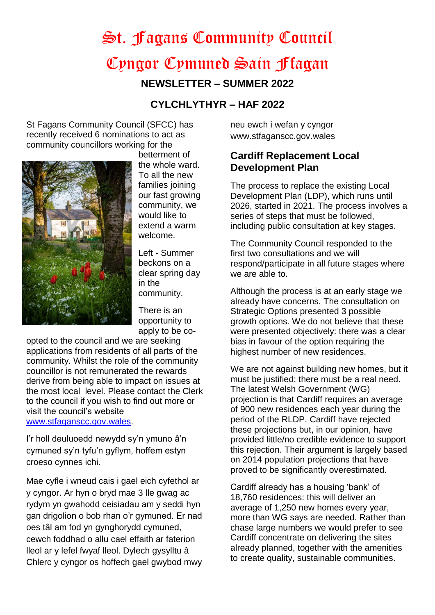# St. Fagans Community Council Cyngor Cymuned Sain Ffagan

**NEWSLETTER – SUMMER 2022**

## **CYLCHLYTHYR – HAF 2022**

St Fagans Community Council (SFCC) has recently received 6 nominations to act as community councillors working for the



betterment of the whole ward.

To all the new families joining our fast growing community, we would like to extend a warm welcome.

Left - Summer beckons on a clear spring day in the community.

There is an opportunity to apply to be co-

opted to the council and we are seeking applications from residents of all parts of the community. Whilst the role of the community councillor is not remunerated the rewards derive from being able to impact on issues at the most local level. Please contact the Clerk to the council if you wish to find out more or visit the council's website [www.stfaganscc.gov.wales.](http://www.stfaganscc.gov.wales/)

I'r holl deuluoedd newydd sy'n ymuno â'n cymuned sy'n tyfu'n gyflym, hoffem estyn croeso cynnes ichi.

Mae cyfle i wneud cais i gael eich cyfethol ar y cyngor. Ar hyn o bryd mae 3 lle gwag ac rydym yn gwahodd ceisiadau am y seddi hyn gan drigolion o bob rhan o'r gymuned. Er nad oes tâl am fod yn gynghorydd cymuned, cewch foddhad o allu cael effaith ar faterion lleol ar y lefel fwyaf lleol. Dylech gysylltu â Chlerc y cyngor os hoffech gael gwybod mwy neu ewch i wefan y cyngor www.stfaganscc.gov.wales

## **Cardiff Replacement Local Development Plan**

The process to replace the existing Local Development Plan (LDP), which runs until 2026, started in 2021. The process involves a series of steps that must be followed, including public consultation at key stages.

The Community Council responded to the first two consultations and we will respond/participate in all future stages where we are able to.

Although the process is at an early stage we already have concerns. The consultation on Strategic Options presented 3 possible growth options. We do not believe that these were presented objectively: there was a clear bias in favour of the option requiring the highest number of new residences.

We are not against building new homes, but it must be justified: there must be a real need. The latest Welsh Government (WG) projection is that Cardiff requires an average of 900 new residences each year during the period of the RLDP. Cardiff have rejected these projections but, in our opinion, have provided little/no credible evidence to support this rejection. Their argument is largely based on 2014 population projections that have proved to be significantly overestimated.

Cardiff already has a housing 'bank' of 18,760 residences: this will deliver an average of 1,250 new homes every year, more than WG says are needed. Rather than chase large numbers we would prefer to see Cardiff concentrate on delivering the sites already planned, together with the amenities to create quality, sustainable communities.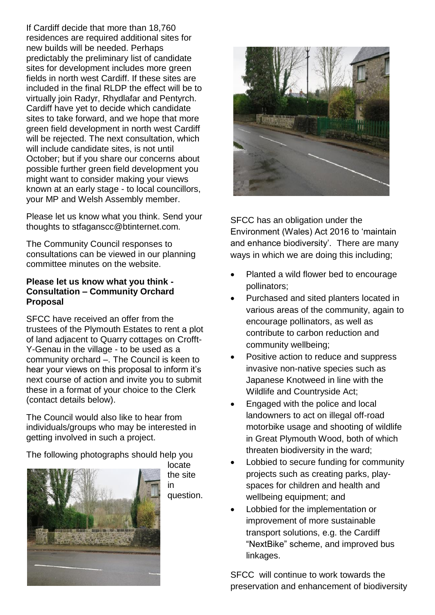If Cardiff decide that more than 18,760 residences are required additional sites for new builds will be needed. Perhaps predictably the preliminary list of candidate sites for development includes more green fields in north west Cardiff. If these sites are included in the final RLDP the effect will be to virtually join Radyr, Rhydlafar and Pentyrch. Cardiff have yet to decide which candidate sites to take forward, and we hope that more green field development in north west Cardiff will be rejected. The next consultation, which will include candidate sites, is not until October; but if you share our concerns about possible further green field development you might want to consider making your views known at an early stage - to local councillors, your MP and Welsh Assembly member.

Please let us know what you think. Send your thoughts to stfaganscc@btinternet.com.

The Community Council responses to consultations can be viewed in our planning committee minutes on the website.

#### **Please let us know what you think - Consultation – Community Orchard Proposal**

SFCC have received an offer from the trustees of the Plymouth Estates to rent a plot of land adjacent to Quarry cottages on Crofft-Y-Genau in the village - to be used as a community orchard –. The Council is keen to hear your views on this proposal to inform it's next course of action and invite you to submit these in a format of your choice to the Clerk (contact details below).

The Council would also like to hear from individuals/groups who may be interested in getting involved in such a project.

The following photographs should help you



locate the site in question.



SFCC has an obligation under the Environment (Wales) Act 2016 to 'maintain and enhance biodiversity'. There are many ways in which we are doing this including;

- Planted a wild flower bed to encourage pollinators;
- Purchased and sited planters located in various areas of the community, again to encourage pollinators, as well as contribute to carbon reduction and community wellbeing;
- Positive action to reduce and suppress invasive non-native species such as Japanese Knotweed in line with the Wildlife and Countryside Act;
- Engaged with the police and local landowners to act on illegal off-road motorbike usage and shooting of wildlife in Great Plymouth Wood, both of which threaten biodiversity in the ward;
- Lobbied to secure funding for community projects such as creating parks, playspaces for children and health and wellbeing equipment; and
- Lobbied for the implementation or improvement of more sustainable transport solutions, e.g. the Cardiff "NextBike" scheme, and improved bus linkages.

SFCC will continue to work towards the preservation and enhancement of biodiversity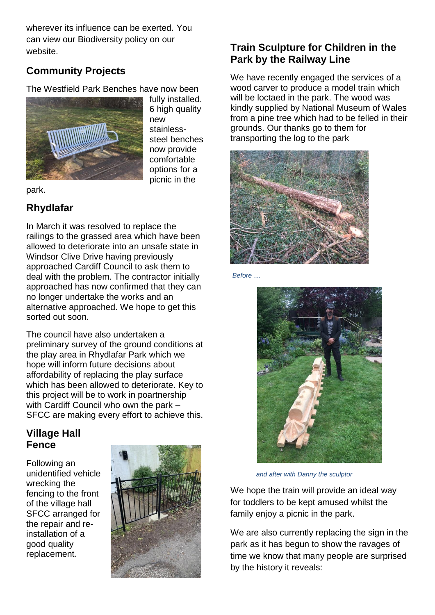wherever its influence can be exerted. You can view our Biodiversity policy on our website.

## **Community Projects**

The Westfield Park Benches have now been



fully installed. 6 high quality new stainlesssteel benches now provide comfortable options for a picnic in the

park.

## **Rhydlafar**

In March it was resolved to replace the railings to the grassed area which have been allowed to deteriorate into an unsafe state in Windsor Clive Drive having previously approached Cardiff Council to ask them to deal with the problem. The contractor initially approached has now confirmed that they can no longer undertake the works and an alternative approached. We hope to get this sorted out soon.

The council have also undertaken a preliminary survey of the ground conditions at the play area in Rhydlafar Park which we hope will inform future decisions about affordability of replacing the play surface which has been allowed to deteriorate. Key to this project will be to work in poartnership with Cardiff Council who own the park – SFCC are making every effort to achieve this.

## **Village Hall Fence**

Following an unidentified vehicle wrecking the fencing to the front of the village hall SFCC arranged for the repair and reinstallation of a good quality replacement.



# **Train Sculpture for Children in the Park by the Railway Line**

We have recently engaged the services of a wood carver to produce a model train which will be loctaed in the park. The wood was kindly supplied by National Museum of Wales from a pine tree which had to be felled in their grounds. Our thanks go to them for transporting the log to the park



*Before ....* 



 *and after with Danny the sculptor*

We hope the train will provide an ideal way for toddlers to be kept amused whilst the family enjoy a picnic in the park.

We are also currently replacing the sign in the park as it has begun to show the ravages of time we know that many people are surprised by the history it reveals: